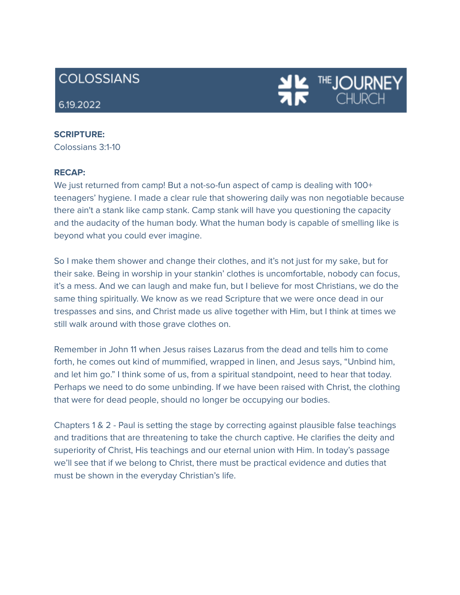# **COLOSSIANS**

# 6.19.2022

# **SCRIPTURE:**

Colossians 3:1-10

### **RECAP:**

We just returned from camp! But a not-so-fun aspect of camp is dealing with 100+ teenagers' hygiene. I made a clear rule that showering daily was non negotiable because there ain't a stank like camp stank. Camp stank will have you questioning the capacity and the audacity of the human body. What the human body is capable of smelling like is beyond what you could ever imagine.

THE **JOURN** 

So I make them shower and change their clothes, and it's not just for my sake, but for their sake. Being in worship in your stankin' clothes is uncomfortable, nobody can focus, it's a mess. And we can laugh and make fun, but I believe for most Christians, we do the same thing spiritually. We know as we read Scripture that we were once dead in our trespasses and sins, and Christ made us alive together with Him, but I think at times we still walk around with those grave clothes on.

Remember in John 11 when Jesus raises Lazarus from the dead and tells him to come forth, he comes out kind of mummified, wrapped in linen, and Jesus says, "Unbind him, and let him go." I think some of us, from a spiritual standpoint, need to hear that today. Perhaps we need to do some unbinding. If we have been raised with Christ, the clothing that were for dead people, should no longer be occupying our bodies.

Chapters 1 & 2 - Paul is setting the stage by correcting against plausible false teachings and traditions that are threatening to take the church captive. He clarifies the deity and superiority of Christ, His teachings and our eternal union with Him. In today's passage we'll see that if we belong to Christ, there must be practical evidence and duties that must be shown in the everyday Christian's life.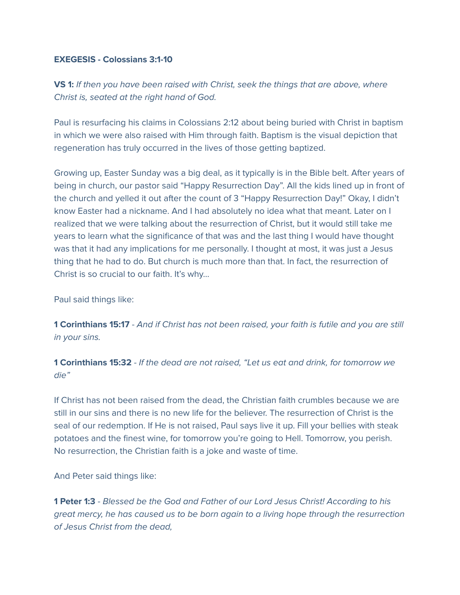# **EXEGESIS - Colossians 3:1-10**

**VS 1:** If then you have been raised with Christ, seek the things that are above, where Christ is, seated at the right hand of God.

Paul is resurfacing his claims in Colossians 2:12 about being buried with Christ in baptism in which we were also raised with Him through faith. Baptism is the visual depiction that regeneration has truly occurred in the lives of those getting baptized.

Growing up, Easter Sunday was a big deal, as it typically is in the Bible belt. After years of being in church, our pastor said "Happy Resurrection Day". All the kids lined up in front of the church and yelled it out after the count of 3 "Happy Resurrection Day!" Okay, I didn't know Easter had a nickname. And I had absolutely no idea what that meant. Later on I realized that we were talking about the resurrection of Christ, but it would still take me years to learn what the significance of that was and the last thing I would have thought was that it had any implications for me personally. I thought at most, it was just a Jesus thing that he had to do. But church is much more than that. In fact, the resurrection of Christ is so crucial to our faith. It's why…

Paul said things like:

**1 Corinthians 15:17** - And if Christ has not been raised, your faith is futile and you are still in your sins.

**1 Corinthians 15:32** - If the dead are not raised, "Let us eat and drink, for tomorrow we die"

If Christ has not been raised from the dead, the Christian faith crumbles because we are still in our sins and there is no new life for the believer. The resurrection of Christ is the seal of our redemption. If He is not raised, Paul says live it up. Fill your bellies with steak potatoes and the finest wine, for tomorrow you're going to Hell. Tomorrow, you perish. No resurrection, the Christian faith is a joke and waste of time.

And Peter said things like:

**1 Peter 1:3** - Blessed be the God and Father of our Lord Jesus Christ! According to his great mercy, he has caused us to be born again to a living hope through the resurrection of Jesus Christ from the dead,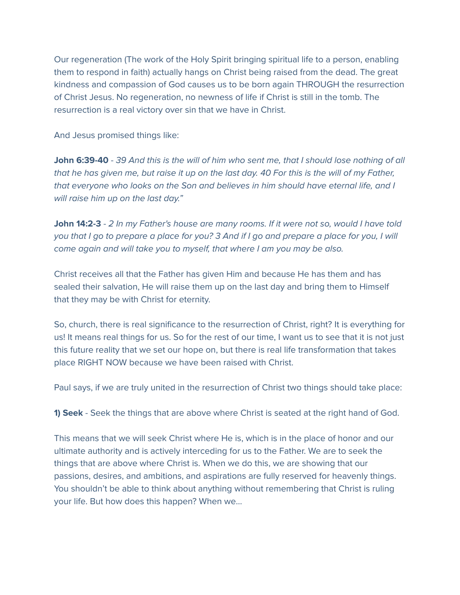Our regeneration (The work of the Holy Spirit bringing spiritual life to a person, enabling them to respond in faith) actually hangs on Christ being raised from the dead. The great kindness and compassion of God causes us to be born again THROUGH the resurrection of Christ Jesus. No regeneration, no newness of life if Christ is still in the tomb. The resurrection is a real victory over sin that we have in Christ.

And Jesus promised things like:

**John 6:39-40** - 39 And this is the will of him who sent me, that I should lose nothing of all that he has given me, but raise it up on the last day. 40 For this is the will of my Father, that everyone who looks on the Son and believes in him should have eternal life, and I will raise him up on the last day."

**John 14:2-3** - 2 In my Father's house are many rooms. If it were not so, would I have told you that I go to prepare a place for you? 3 And if I go and prepare a place for you, I will come again and will take you to myself, that where I am you may be also.

Christ receives all that the Father has given Him and because He has them and has sealed their salvation, He will raise them up on the last day and bring them to Himself that they may be with Christ for eternity.

So, church, there is real significance to the resurrection of Christ, right? It is everything for us! It means real things for us. So for the rest of our time, I want us to see that it is not just this future reality that we set our hope on, but there is real life transformation that takes place RIGHT NOW because we have been raised with Christ.

Paul says, if we are truly united in the resurrection of Christ two things should take place:

**1) Seek** - Seek the things that are above where Christ is seated at the right hand of God.

This means that we will seek Christ where He is, which is in the place of honor and our ultimate authority and is actively interceding for us to the Father. We are to seek the things that are above where Christ is. When we do this, we are showing that our passions, desires, and ambitions, and aspirations are fully reserved for heavenly things. You shouldn't be able to think about anything without remembering that Christ is ruling your life. But how does this happen? When we…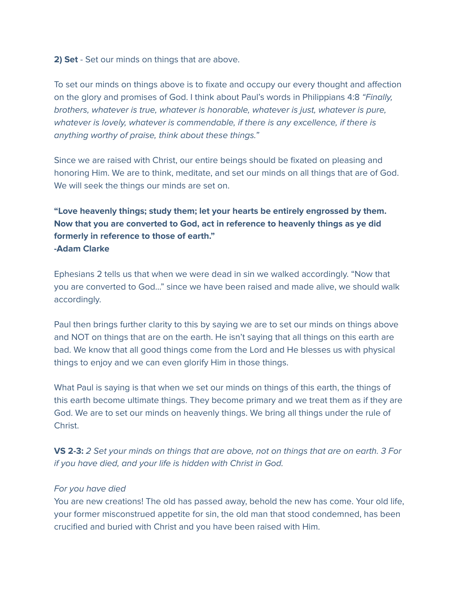# **2) Set** - Set our minds on things that are above.

To set our minds on things above is to fixate and occupy our every thought and affection on the glory and promises of God. I think about Paul's words in Philippians 4:8 "Finally, brothers, whatever is true, whatever is honorable, whatever is just, whatever is pure, whatever is lovely, whatever is commendable, if there is any excellence, if there is anything worthy of praise, think about these things."

Since we are raised with Christ, our entire beings should be fixated on pleasing and honoring Him. We are to think, meditate, and set our minds on all things that are of God. We will seek the things our minds are set on.

# **"Love heavenly things; study them; let your hearts be entirely engrossed by them. Now that you are converted to God, act in reference to heavenly things as ye did formerly in reference to those of earth." -Adam Clarke**

Ephesians 2 tells us that when we were dead in sin we walked accordingly. "Now that you are converted to God…" since we have been raised and made alive, we should walk accordingly.

Paul then brings further clarity to this by saying we are to set our minds on things above and NOT on things that are on the earth. He isn't saying that all things on this earth are bad. We know that all good things come from the Lord and He blesses us with physical things to enjoy and we can even glorify Him in those things.

What Paul is saying is that when we set our minds on things of this earth, the things of this earth become ultimate things. They become primary and we treat them as if they are God. We are to set our minds on heavenly things. We bring all things under the rule of Christ.

**VS 2-3:** 2 Set your minds on things that are above, not on things that are on earth. 3 For if you have died, and your life is hidden with Christ in God.

## For you have died

You are new creations! The old has passed away, behold the new has come. Your old life, your former misconstrued appetite for sin, the old man that stood condemned, has been crucified and buried with Christ and you have been raised with Him.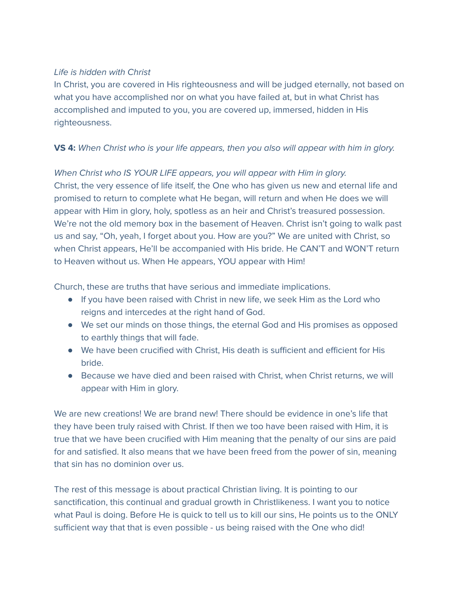# Life is hidden with Christ

In Christ, you are covered in His righteousness and will be judged eternally, not based on what you have accomplished nor on what you have failed at, but in what Christ has accomplished and imputed to you, you are covered up, immersed, hidden in His righteousness.

# **VS 4:** When Christ who is your life appears, then you also will appear with him in glory.

When Christ who IS YOUR LIFE appears, you will appear with Him in glory. Christ, the very essence of life itself, the One who has given us new and eternal life and promised to return to complete what He began, will return and when He does we will appear with Him in glory, holy, spotless as an heir and Christ's treasured possession. We're not the old memory box in the basement of Heaven. Christ isn't going to walk past us and say, "Oh, yeah, I forget about you. How are you?" We are united with Christ, so when Christ appears, He'll be accompanied with His bride. He CAN'T and WON'T return to Heaven without us. When He appears, YOU appear with Him!

Church, these are truths that have serious and immediate implications.

- If you have been raised with Christ in new life, we seek Him as the Lord who reigns and intercedes at the right hand of God.
- We set our minds on those things, the eternal God and His promises as opposed to earthly things that will fade.
- We have been crucified with Christ, His death is sufficient and efficient for His bride.
- Because we have died and been raised with Christ, when Christ returns, we will appear with Him in glory.

We are new creations! We are brand new! There should be evidence in one's life that they have been truly raised with Christ. If then we too have been raised with Him, it is true that we have been crucified with Him meaning that the penalty of our sins are paid for and satisfied. It also means that we have been freed from the power of sin, meaning that sin has no dominion over us.

The rest of this message is about practical Christian living. It is pointing to our sanctification, this continual and gradual growth in Christlikeness. I want you to notice what Paul is doing. Before He is quick to tell us to kill our sins, He points us to the ONLY sufficient way that that is even possible - us being raised with the One who did!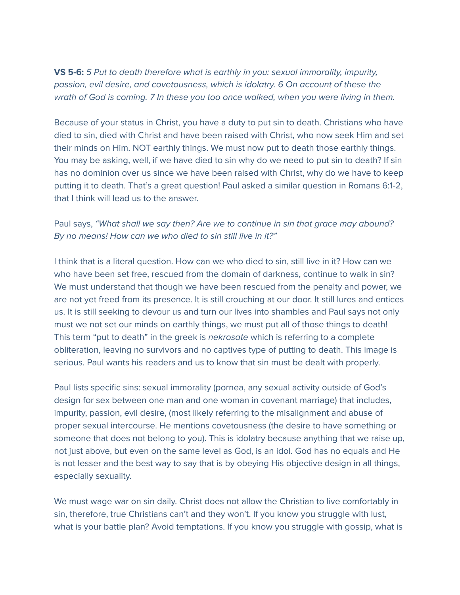**VS 5-6:** 5 Put to death therefore what is earthly in you: sexual immorality, impurity, passion, evil desire, and covetousness, which is idolatry. 6 On account of these the wrath of God is coming. 7 In these you too once walked, when you were living in them.

Because of your status in Christ, you have a duty to put sin to death. Christians who have died to sin, died with Christ and have been raised with Christ, who now seek Him and set their minds on Him. NOT earthly things. We must now put to death those earthly things. You may be asking, well, if we have died to sin why do we need to put sin to death? If sin has no dominion over us since we have been raised with Christ, why do we have to keep putting it to death. That's a great question! Paul asked a similar question in Romans 6:1-2, that I think will lead us to the answer.

# Paul says, "What shall we say then? Are we to continue in sin that grace may abound? By no means! How can we who died to sin still live in it?"

I think that is a literal question. How can we who died to sin, still live in it? How can we who have been set free, rescued from the domain of darkness, continue to walk in sin? We must understand that though we have been rescued from the penalty and power, we are not yet freed from its presence. It is still crouching at our door. It still lures and entices us. It is still seeking to devour us and turn our lives into shambles and Paul says not only must we not set our minds on earthly things, we must put all of those things to death! This term "put to death" in the greek is *nekrosate* which is referring to a complete obliteration, leaving no survivors and no captives type of putting to death. This image is serious. Paul wants his readers and us to know that sin must be dealt with properly.

Paul lists specific sins: sexual immorality (pornea, any sexual activity outside of God's design for sex between one man and one woman in covenant marriage) that includes, impurity, passion, evil desire, (most likely referring to the misalignment and abuse of proper sexual intercourse. He mentions covetousness (the desire to have something or someone that does not belong to you). This is idolatry because anything that we raise up, not just above, but even on the same level as God, is an idol. God has no equals and He is not lesser and the best way to say that is by obeying His objective design in all things, especially sexuality.

We must wage war on sin daily. Christ does not allow the Christian to live comfortably in sin, therefore, true Christians can't and they won't. If you know you struggle with lust, what is your battle plan? Avoid temptations. If you know you struggle with gossip, what is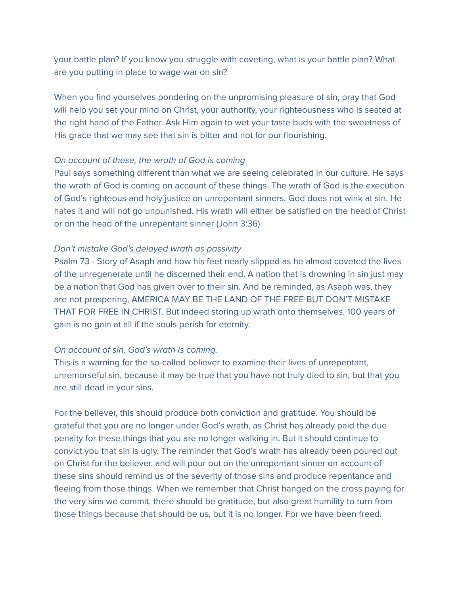your battle plan? If you know you struggle with coveting, what is your battle plan? What are you putting in place to wage war on sin?

When you find yourselves pondering on the unpromising pleasure of sin, pray that God will help you set your mind on Christ, your authority, your righteousness who is seated at the right hand of the Father. Ask Him again to wet your taste buds with the sweetness of His grace that we may see that sin is bitter and not for our flourishing.

### On account of these, the wrath of God is coming

Paul says something different than what we are seeing celebrated in our culture. He says the wrath of God is coming on account of these things. The wrath of God is the execution of God's righteous and holy justice on unrepentant sinners. God does not wink at sin. He hates it and will not go unpunished. His wrath will either be satisfied on the head of Christ or on the head of the unrepentant sinner (John 3:36)

## Don't mistake God's delayed wrath as passivity

Psalm 73 - Story of Asaph and how his feet nearly slipped as he almost coveted the lives of the unregenerate until he discerned their end. A nation that is drowning in sin just may be a nation that God has given over to their sin. And be reminded, as Asaph was, they are not prospering, AMERICA MAY BE THE LAND OF THE FREE BUT DON'T MISTAKE THAT FOR FREE IN CHRIST. But indeed storing up wrath onto themselves. 100 years of gain is no gain at all if the souls perish for eternity.

## On account of sin, God's wrath is coming.

This is a warning for the so-called believer to examine their lives of unrepentant, unremorseful sin, because it may be true that you have not truly died to sin, but that you are still dead in your sins.

For the believer, this should produce both conviction and gratitude. You should be grateful that you are no longer under God's wrath, as Christ has already paid the due penalty for these things that you are no longer walking in. But it should continue to convict you that sin is ugly. The reminder that God's wrath has already been poured out on Christ for the believer, and will pour out on the unrepentant sinner on account of these sins should remind us of the severity of those sins and produce repentance and fleeing from those things. When we remember that Christ hanged on the cross paying for the very sins we commit, there should be gratitude, but also great humility to turn from those things because that should be us, but it is no longer. For we have been freed.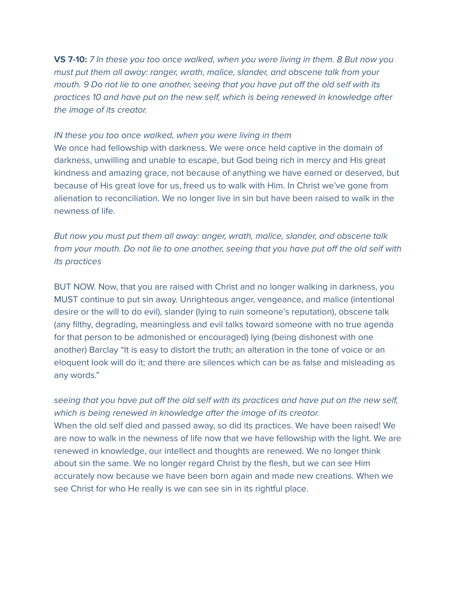**VS 7-10:** 7 In these you too once walked, when you were living in them. 8 But now you must put them all away: ranger, wrath, malice, slander, and obscene talk from your mouth. 9 Do not lie to one another, seeing that you have put off the old self with its practices 10 and have put on the new self, which is being renewed in knowledge after the image of its creator.

#### IN these you too once walked, when you were living in them

We once had fellowship with darkness. We were once held captive in the domain of darkness, unwilling and unable to escape, but God being rich in mercy and His great kindness and amazing grace, not because of anything we have earned or deserved, but because of His great love for us, freed us to walk with Him. In Christ we've gone from alienation to reconciliation. We no longer live in sin but have been raised to walk in the newness of life.

But now you must put them all away: anger, wrath, malice, slander, and obscene talk from your mouth. Do not lie to one another, seeing that you have put off the old self with its practices

BUT NOW. Now, that you are raised with Christ and no longer walking in darkness, you MUST continue to put sin away. Unrighteous anger, vengeance, and malice (intentional desire or the will to do evil), slander (lying to ruin someone's reputation), obscene talk (any filthy, degrading, meaningless and evil talks toward someone with no true agenda for that person to be admonished or encouraged) lying (being dishonest with one another) Barclay "It is easy to distort the truth; an alteration in the tone of voice or an eloquent look will do it; and there are silences which can be as false and misleading as any words."

seeing that you have put off the old self with its practices and have put on the new self, which is being renewed in knowledge after the image of its creator. When the old self died and passed away, so did its practices. We have been raised! We are now to walk in the newness of life now that we have fellowship with the light. We are renewed in knowledge, our intellect and thoughts are renewed. We no longer think about sin the same. We no longer regard Christ by the flesh, but we can see Him accurately now because we have been born again and made new creations. When we see Christ for who He really is we can see sin in its rightful place.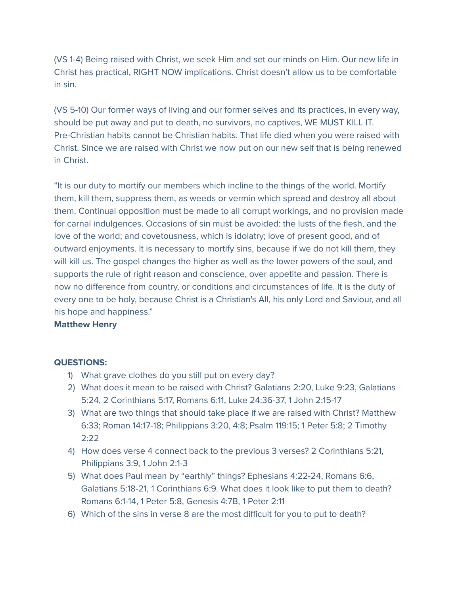(VS 1-4) Being raised with Christ, we seek Him and set our minds on Him. Our new life in Christ has practical, RIGHT NOW implications. Christ doesn't allow us to be comfortable in sin.

(VS 5-10) Our former ways of living and our former selves and its practices, in every way, should be put away and put to death, no survivors, no captives, WE MUST KILL IT. Pre-Christian habits cannot be Christian habits. That life died when you were raised with Christ. Since we are raised with Christ we now put on our new self that is being renewed in Christ.

"It is our duty to mortify our members which incline to the things of the world. Mortify them, kill them, suppress them, as weeds or vermin which spread and destroy all about them. Continual opposition must be made to all corrupt workings, and no provision made for carnal indulgences. Occasions of sin must be avoided: the lusts of the flesh, and the love of the world; and covetousness, which is idolatry; love of present good, and of outward enjoyments. It is necessary to mortify sins, because if we do not kill them, they will kill us. The gospel changes the higher as well as the lower powers of the soul, and supports the rule of right reason and conscience, over appetite and passion. There is now no difference from country, or conditions and circumstances of life. It is the duty of every one to be holy, because Christ is a Christian's All, his only Lord and Saviour, and all his hope and happiness."

## **Matthew Henry**

#### **QUESTIONS:**

- 1) What grave clothes do you still put on every day?
- 2) What does it mean to be raised with Christ? Galatians 2:20, Luke 9:23, Galatians 5:24, 2 Corinthians 5:17, Romans 6:11, Luke 24:36-37, 1 John 2:15-17
- 3) What are two things that should take place if we are raised with Christ? Matthew 6:33; Roman 14:17-18; Philippians 3:20, 4:8; Psalm 119:15; 1 Peter 5:8; 2 Timothy 2:22
- 4) How does verse 4 connect back to the previous 3 verses? 2 Corinthians 5:21, Philippians 3:9, 1 John 2:1-3
- 5) What does Paul mean by "earthly" things? Ephesians 4:22-24, Romans 6:6, Galatians 5:18-21, 1 Corinthians 6:9. What does it look like to put them to death? Romans 6:1-14, 1 Peter 5:8, Genesis 4:7B, 1 Peter 2:11
- 6) Which of the sins in verse 8 are the most difficult for you to put to death?